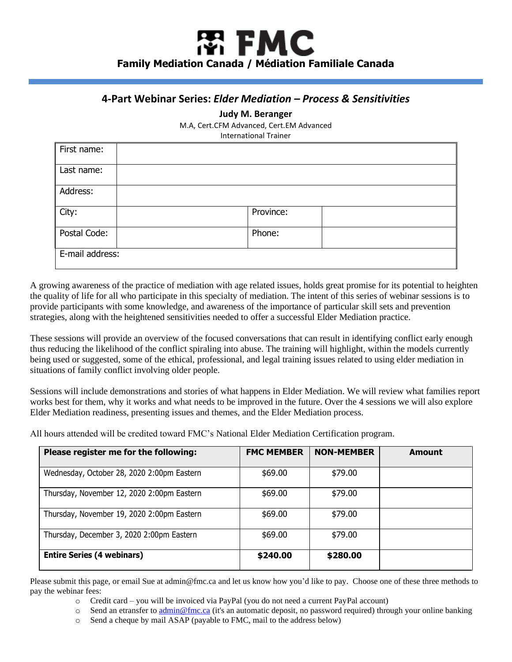## 閝 FMC **Family Mediation Canada / Médiation Familiale Canada**

## **4-Part Webinar Series:** *Elder Mediation – Process & Sensitivities*

**Judy M. Beranger**

M.A, Cert.CFM Advanced, Cert.EM Advanced

International Trainer

| First name:     |           |  |
|-----------------|-----------|--|
| Last name:      |           |  |
| Address:        |           |  |
| City:           | Province: |  |
| Postal Code:    | Phone:    |  |
| E-mail address: |           |  |

A growing awareness of the practice of mediation with age related issues, holds great promise for its potential to heighten the quality of life for all who participate in this specialty of mediation. The intent of this series of webinar sessions is to provide participants with some knowledge, and awareness of the importance of particular skill sets and prevention strategies, along with the heightened sensitivities needed to offer a successful Elder Mediation practice.

These sessions will provide an overview of the focused conversations that can result in identifying conflict early enough thus reducing the likelihood of the conflict spiraling into abuse. The training will highlight, within the models currently being used or suggested, some of the ethical, professional, and legal training issues related to using elder mediation in situations of family conflict involving older people.

Sessions will include demonstrations and stories of what happens in Elder Mediation. We will review what families report works best for them, why it works and what needs to be improved in the future. Over the 4 sessions we will also explore Elder Mediation readiness, presenting issues and themes, and the Elder Mediation process.

All hours attended will be credited toward FMC's National Elder Mediation Certification program.

| Please register me for the following:      | <b>FMC MEMBER</b> | <b>NON-MEMBER</b> | <b>Amount</b> |
|--------------------------------------------|-------------------|-------------------|---------------|
| Wednesday, October 28, 2020 2:00pm Eastern | \$69.00           | \$79.00           |               |
| Thursday, November 12, 2020 2:00pm Eastern | \$69.00           | \$79.00           |               |
| Thursday, November 19, 2020 2:00pm Eastern | \$69.00           | \$79.00           |               |
| Thursday, December 3, 2020 2:00pm Eastern  | \$69.00           | \$79.00           |               |
| <b>Entire Series (4 webinars)</b>          | \$240.00          | \$280.00          |               |

Please submit this page, or email Sue at admin@fmc.ca and let us know how you'd like to pay. Choose one of these three methods to pay the webinar fees:

- o Credit card you will be invoiced via PayPal (you do not need a current PayPal account)
- $\circ$  Send an etransfer to [admin@fmc.ca](mailto:admin@fmc.ca) (it's an automatic deposit, no password required) through your online banking
- o Send a cheque by mail ASAP (payable to FMC, mail to the address below)